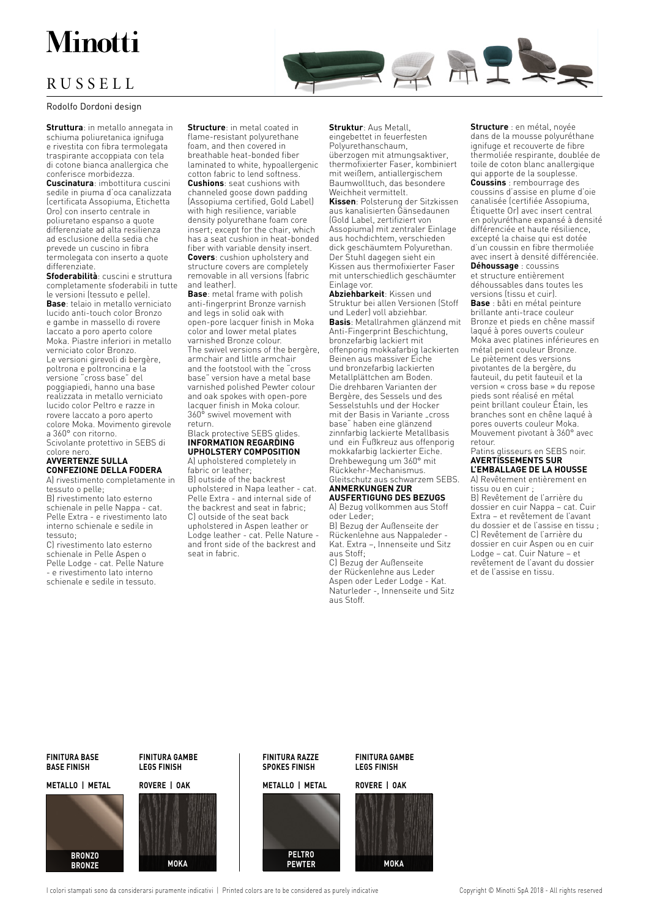# Minotti

## RUSSELL

### Rodolfo Dordoni design

**Struttura**: in metallo annegata in schiuma poliuretanica ignifuga e rivestita con fibra termolegata traspirante accoppiata con tela di cotone bianca anallergica che conferisce morbidezza.

**Cuscinatura**: imbottitura cuscini sedile in piuma d'oca canalizzata (certificata Assopiuma, Etichetta Oro) con inserto centrale in poliuretano espanso a quote differenziate ad alta resilienza ad esclusione della sedia che prevede un cuscino in fibra termolegata con inserto a quote differenziate.

**Sfoderabilità**: cuscini e struttura completamente sfoderabili in tutte le versioni (tessuto e pelle). **Base**: telaio in metallo verniciato lucido anti-touch color Bronzo e gambe in massello di rovere laccato a poro aperto colore Moka. Piastre inferiori in metallo verniciato color Bronzo. Le versioni girevoli di bergère, poltrona e poltroncina e la versione "cross base" del poggiapiedi, hanno una base realizzata in metallo verniciato lucido color Peltro e razze in rovere laccato a poro aperto colore Moka. Movimento girevole a 360° con ritorno. Scivolante protettivo in SEBS di

colore nero **AVVERTENZE SULLA** 

## **CONFEZIONE DELLA FODERA**

A) rivestimento completamente in tessuto o pelle;

B) rivestimento lato esterno schienale in pelle Nappa - cat. Pelle Extra - e rivestimento lato interno schienale e sedile in tessuto;

C) rivestimento lato esterno schienale in Pelle Aspen o Pelle Lodge - cat. Pelle Nature - e rivestimento lato interno schienale e sedile in tessuto.

**Structure**: in metal coated in flame-resistant polyurethane foam, and then covered in breathable heat-bonded fiber laminated to white, hypoallergenic cotton fabric to lend softness. **Cushions**: seat cushions with channeled goose down padding (Assopiuma certified, Gold Label) with high resilience, variable density polyurethane foam core insert; except for the chair, which has a seat cushion in heat-bonded fiber with variable density insert. **Covers**: cushion upholstery and structure covers are completely removable in all versions (fabric and leather).

**Base**: metal frame with polish anti-fingerprint Bronze varnish and legs in solid oak with open-pore lacquer finish in Moka color and lower metal plates varnished Bronze colour. The swivel versions of the bergère, armchair and little armchair and the footstool with the "cross base" version have a metal base varnished polished Pewter colour and oak spokes with open-pore lacquer finish in Moka colour. 360° swivel movement with return.

#### Black protective SEBS glides. **INFORMATION REGARDING UPHOLSTERY COMPOSITION**

A) upholstered completely in fabric or leather; B) outside of the backrest upholstered in Napa leather - cat. Pelle Extra - and internal side of the backrest and seat in fabric; C) outside of the seat back upholstered in Aspen leather or Lodge leather - cat. Pelle Nature and front side of the backrest and seat in fabric.

**Struktur**: Aus Metall, eingebettet in feuerfesten Polyurethanschaum, überzogen mit atmungsaktiver, thermofixierter Faser, kombiniert mit weißem, antiallergischem Baumwolltuch, das besondere Weichheit vermittelt.

HAT

**Kissen**: Polsterung der Sitzkissen aus kanalisierten Gänsedaunen (Gold Label, zertifiziert von Assopiuma) mit zentraler Einlage aus hochdichtem, verschieden dick geschäumtem Polyurethan. Der Stuhl dagegen sieht ein Kissen aus thermofixierter Faser mit unterschiedlich geschäumter Einlage vor.

**Abziehbarkeit**: Kissen und Struktur bei allen Versionen (Stoff und Leder) voll abziehbar. **Basis**: Metallrahmen glänzend mit Anti-Fingerprint Beschichtung, bronzefarbig lackiert mit offenporig mokkafarbig lackierten Beinen aus massiver Eiche und bronzefarbig lackierten Metallplättchen am Boden. Die drehbaren Varianten der Bergère, des Sessels und des Sesselstuhls und der Hocker mit der Basis in Variante "cross base" haben eine glänzend zinnfarbig lackierte Metallbasis und ein Fußkreuz aus offenporig mokkafarbig lackierter Eiche. Drehbewegung um 360° mit Rückkehr-Mechanismus. Gleitschutz aus schwarzem SEBS.

## **ANMERKUNGEN ZUR AUSFERTIGUNG DES BEZUGS**

A) Bezug vollkommen aus Stoff oder Leder;

B) Bezug der Außenseite der Rückenlehne aus Nappaleder - Kat. Extra –, Innenseite und Sitz aus Stoff;

C) Bezug der Außenseite der Rückenlehne aus Leder Aspen oder Leder Lodge - Kat. Naturleder -, Innenseite und Sitz aus Stoff.

**Structure** : en métal, noyée dans de la mousse polyuréthane ignifuge et recouverte de fibre thermoliée respirante, doublée de toile de coton blanc anallergique qui apporte de la souplesse.

RE

**Coussins** : rembourrage des coussins d'assise en plume d'oie canalisée (certifiée Assopiuma, Étiquette Or) avec insert central en polyuréthane expansé à densité différenciée et haute résilience, excepté la chaise qui est dotée d'un coussin en fibre thermoliée avec insert à densité différenciée.

**Déhoussage** : coussins et structure entièrement déhoussables dans toutes les

versions (tissu et cuir). **Base** : bâti en métal peinture brillante anti-trace couleur Bronze et pieds en chêne massif laqué à pores ouverts couleur Moka avec platines inférieures en métal peint couleur Bronze. Le piètement des versions pivotantes de la bergère, du fauteuil, du petit fauteuil et la version « cross base » du repose pieds sont réalisé en métal peint brillant couleur Étain, les branches sont en chêne laqué à pores ouverts couleur Moka. Mouvement pivotant à 360° avec retour.

#### Patins glisseurs en SEBS noir. **AVERTISSEMENTS SUR L'EMBALLAGE DE LA HOUSSE**

A) Revêtement entièrement en tissu ou en cuir ;

B) Revêtement de l'arrière du dossier en cuir Nappa – cat. Cuir Extra – et revêtement de l'avant du dossier et de l'assise en tissu ; C) Revêtement de l'arrière du dossier en cuir Aspen ou en cuir Lodge – cat. Cuir Nature – et revêtement de l'avant du dossier et de l'assise en tissu.

### **FINITURA BASE BASE FINISH**

#### **METALLO | METAL METALLO | METAL ROVERE | OAK ROVERE | OAK**



**FINITURA GAMBE LEGS FINISH**



## **FINITURA RAZZE SPOKES FINISH**



**FINITURA GAMBE LEGS FINISH**



I colori stampati sono da considerarsi puramente indicativi | Printed colors are to be considered as purely indicative Copyright © Minotti SpA 2018 - All rights reserved